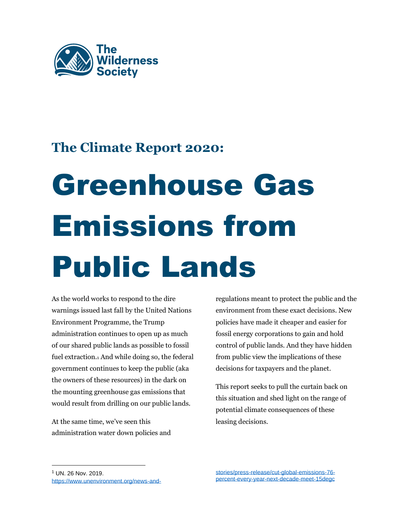

# **The Climate Report 2020:**

# Greenhouse Gas Emissions from Public Lands

As the world works to respond to the dire warnings issued last fall by the United Nations Environment Programme, the Trump administration continues to open up as much of our shared public lands as possible to fossil fuel extraction.<sup>1</sup> And while doing so, the federal government continues to keep the public (aka the owners of these resources) in the dark on the mounting greenhouse gas emissions that would result from drilling on our public lands.

At the same time, we've seen this administration water down policies and regulations meant to protect the public and the environment from these exact decisions. New policies have made it cheaper and easier for fossil energy corporations to gain and hold control of public lands. And they have hidden from public view the implications of these decisions for taxpayers and the planet.

This report seeks to pull the curtain back on this situation and shed light on the range of potential climate consequences of these leasing decisions.

<sup>1</sup> UN. 26 Nov. 2019. [https://www.unenvironment.org/news-and-](https://www.unenvironment.org/news-and-stories/press-release/cut-global-emissions-76-percent-every-year-next-decade-meet-15degc)

[stories/press-release/cut-global-emissions-76](https://www.unenvironment.org/news-and-stories/press-release/cut-global-emissions-76-percent-every-year-next-decade-meet-15degc) [percent-every-year-next-decade-meet-15degc](https://www.unenvironment.org/news-and-stories/press-release/cut-global-emissions-76-percent-every-year-next-decade-meet-15degc)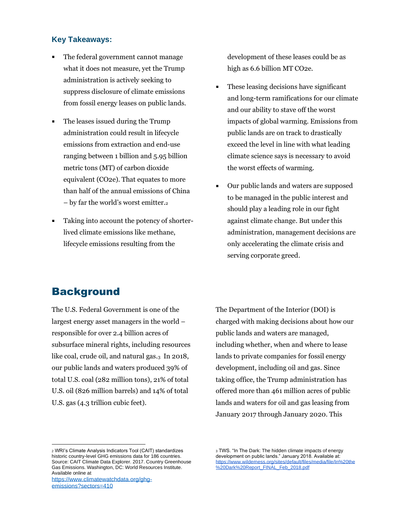#### **Key Takeaways:**

- The federal government cannot manage what it does not measure, yet the Trump administration is actively seeking to suppress disclosure of climate emissions from fossil energy leases on public lands.
- The leases issued during the Trump administration could result in lifecycle emissions from extraction and end-use ranging between 1 billion and 5.95 billion metric tons (MT) of carbon dioxide equivalent (CO2e). That equates to more than half of the annual emissions of China – by far the world's worst emitter.<sup>2</sup>
- Taking into account the potency of shorter- $\blacksquare$ lived climate emissions like methane, lifecycle emissions resulting from the

development of these leases could be as high as 6.6 billion MT CO2e.

- These leasing decisions have significant and long-term ramifications for our climate and our ability to stave off the worst impacts of global warming. Emissions from public lands are on track to drastically exceed the level in line with what leading climate science says is necessary to avoid the worst effects of warming.
- Our public lands and waters are supposed to be managed in the public interest and should play a leading role in our fight against climate change. But under this administration, management decisions are only accelerating the climate crisis and serving corporate greed.

## **Background**

The U.S. Federal Government is one of the largest energy asset managers in the world – responsible for over 2.4 billion acres of subsurface mineral rights, including resources like coal, crude oil, and natural gas. $_3$  In 2018, our public lands and waters produced 39% of total U.S. coal (282 million tons), 21% of total U.S. oil (826 million barrels) and 14% of total U.S. gas (4.3 trillion cubic feet).

The Department of the Interior (DOI) is charged with making decisions about how our public lands and waters are managed, including whether, when and where to lease lands to private companies for fossil energy development, including oil and gas. Since taking office, the Trump administration has offered more than 461 million acres of public lands and waters for oil and gas leasing from January 2017 through January 2020. This

[emissions?sectors=410](https://www.climatewatchdata.org/ghg-emissions?sectors=410)

<sup>2</sup> WRI's Climate Analysis Indicators Tool (CAIT) standardizes historic country-level GHG emissions data for 186 countries. Source: CAIT Climate Data Explorer. 2017. Country Greenhouse Gas Emissions. Washington, DC: World Resources Institute. Available online at [https://www.climatewatchdata.org/ghg-](https://www.climatewatchdata.org/ghg-emissions?sectors=410)

<sup>3</sup> TWS. "In The Dark: The hidden climate impacts of energy development on public lands." January 2018. Available at: [https://www.wilderness.org/sites/default/files/media/file/In%20the](https://www.wilderness.org/sites/default/files/media/file/In%20the%20Dark%20Report_FINAL_Feb_2018.pdf) [%20Dark%20Report\\_FINAL\\_Feb\\_2018.pdf](https://www.wilderness.org/sites/default/files/media/file/In%20the%20Dark%20Report_FINAL_Feb_2018.pdf)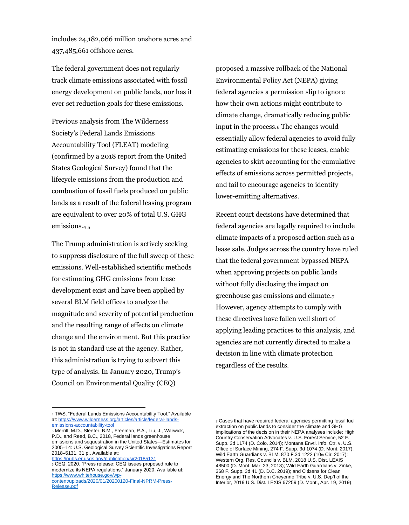includes 24,182,066 million onshore acres and 437,485,661 offshore acres.

The federal government does not regularly track climate emissions associated with fossil energy development on public lands, nor has it ever set reduction goals for these emissions.

Previous analysis from The Wilderness Society's Federal Lands Emissions Accountability Tool (FLEAT) modeling (confirmed by a 2018 report from the United States Geological Survey) found that the lifecycle emissions from the production and combustion of fossil fuels produced on public lands as a result of the federal leasing program are equivalent to over 20% of total U.S. GHG emissions.<sup>4</sup> <sup>5</sup>

The Trump administration is actively seeking to suppress disclosure of the full sweep of these emissions. Well-established scientific methods for estimating GHG emissions from lease development exist and have been applied by several BLM field offices to analyze the magnitude and severity of potential production and the resulting range of effects on climate change and the environment. But this practice is not in standard use at the agency. Rather, this administration is trying to subvert this type of analysis. In January 2020, Trump's Council on Environmental Quality (CEQ)

proposed a massive rollback of the National Environmental Policy Act (NEPA) giving federal agencies a permission slip to ignore how their own actions might contribute to climate change, dramatically reducing public input in the process.<sup>6</sup> The changes would essentially allow federal agencies to avoid fully estimating emissions for these leases, enable agencies to skirt accounting for the cumulative effects of emissions across permitted projects, and fail to encourage agencies to identify lower-emitting alternatives.

Recent court decisions have determined that federal agencies are legally required to include climate impacts of a proposed action such as a lease sale. Judges across the country have ruled that the federal government bypassed NEPA when approving projects on public lands without fully disclosing the impact on greenhouse gas emissions and climate.<sup>7</sup> However, agency attempts to comply with these directives have fallen well short of applying leading practices to this analysis, and agencies are not currently directed to make a decision in line with climate protection regardless of the results.

<sup>4</sup> TWS. "Federal Lands Emissions Accountability Tool." Available at[: https://www.wilderness.org/articles/article/federal-lands](https://www.wilderness.org/articles/article/federal-lands-emissions-accountability-tool)[emissions-accountability-tool](https://www.wilderness.org/articles/article/federal-lands-emissions-accountability-tool)

<sup>5</sup> Merrill, M.D., Sleeter, B.M., Freeman, P.A., Liu, J., Warwick, P.D., and Reed, B.C., 2018, Federal lands greenhouse emissions and sequestration in the United States—Estimates for 2005–14: U.S. Geological Survey Scientific Investigations Report 2018–5131, 31 p., Available at:

<https://pubs.er.usgs.gov/publication/sir20185131> <sup>6</sup> CEQ. 2020. "Press release: CEQ issues proposed rule to modernize its NEPA regulations." January 2020. Available at: [https://www.whitehouse.gov/wp-](https://www.whitehouse.gov/wp-content/uploads/2020/01/20200120-Final-NPRM-Press-Release.pdf)

[content/uploads/2020/01/20200120-Final-NPRM-Press-](https://www.whitehouse.gov/wp-content/uploads/2020/01/20200120-Final-NPRM-Press-Release.pdf)[Release.pdf](https://www.whitehouse.gov/wp-content/uploads/2020/01/20200120-Final-NPRM-Press-Release.pdf)

<sup>7</sup> Cases that have required federal agencies permitting fossil fuel extraction on public lands to consider the climate and GHG implications of the decision in their NEPA analyses include: High Country Conservation Advocates v. U.S. Forest Service, 52 F. Supp. 3d 1174 (D. Colo. 2014); Montana Envtl. Info. Ctr. v. U.S. Office of Surface Mining, 274 F. Supp. 3d 1074 (D. Mont. 2017); Wild Earth Guardians v. BLM, 870 F.3d 1222 (10th Cir. 2017); Western Org. Res. Councils v. BLM, 2018 U.S. Dist. LEXIS 48500 (D. Mont. Mar. 23, 2018); Wild Earth Guardians v. Zinke, 368 F. Supp. 3d 41 (D. D.C. 2019); and Citizens for Clean Energy and The Northern Cheyenne Tribe v. U.S. Dep't of the Interior, 2019 U.S. Dist. LEXIS 67259 (D. Mont., Apr. 19, 2019).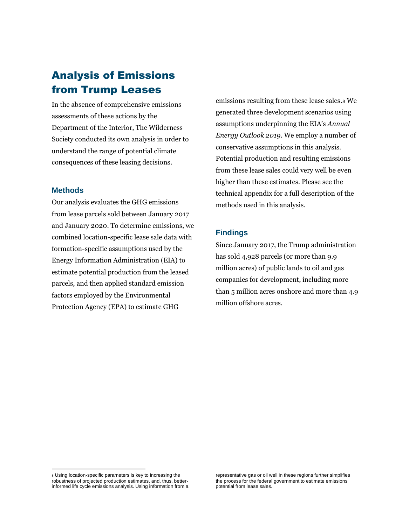## Analysis of Emissions from Trump Leases

In the absence of comprehensive emissions assessments of these actions by the Department of the Interior, The Wilderness Society conducted its own analysis in order to understand the range of potential climate consequences of these leasing decisions.

#### **Methods**

Our analysis evaluates the GHG emissions from lease parcels sold between January 2017 and January 2020. To determine emissions, we combined location-specific lease sale data with formation-specific assumptions used by the Energy Information Administration (EIA) to estimate potential production from the leased parcels, and then applied standard emission factors employed by the Environmental Protection Agency (EPA) to estimate GHG

emissions resulting from these lease sales.<sup>8</sup> We generated three development scenarios using assumptions underpinning the EIA's *Annual Energy Outlook 2019*. We employ a number of conservative assumptions in this analysis. Potential production and resulting emissions from these lease sales could very well be even higher than these estimates. Please see the technical appendix for a full description of the methods used in this analysis.

#### **Findings**

Since January 2017, the Trump administration has sold 4,928 parcels (or more than 9.9 million acres) of public lands to oil and gas companies for development, including more than 5 million acres onshore and more than 4.9 million offshore acres.

<sup>8</sup> Using location-specific parameters is key to increasing the robustness of projected production estimates, and, thus, betterinformed life cycle emissions analysis. Using information from a

representative gas or oil well in these regions further simplifies the process for the federal government to estimate emissions potential from lease sales.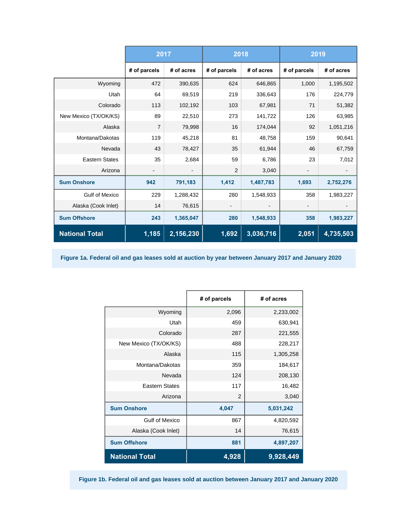|                       | 2017               |                              | 2018           |            | 2019         |            |
|-----------------------|--------------------|------------------------------|----------------|------------|--------------|------------|
|                       | # of parcels       | # of acres                   | # of parcels   | # of acres | # of parcels | # of acres |
| Wyoming               | 472                | 390,635                      | 624            | 646,865    | 1,000        | 1,195,502  |
| Utah                  | 64                 | 69,519                       | 219            | 336,643    | 176          | 224,779    |
| Colorado              | 113                | 102,192                      | 103            | 67,981     | 71           | 51,382     |
| New Mexico (TX/OK/KS) | 89                 | 22,510                       | 273            | 141,722    | 126          | 63,985     |
| Alaska                | $\overline{7}$     | 79,998                       | 16             | 174,044    | 92           | 1,051,216  |
| Montana/Dakotas       | 119                | 45,218                       | 81             | 48,758     | 159          | 90,641     |
| Nevada                | 43                 | 78,427                       | 35             | 61,944     | 46           | 67,759     |
| <b>Eastern States</b> | 35                 | 2,684                        | 59             | 6,786      | 23           | 7,012      |
| Arizona               |                    | $\qquad \qquad \blacksquare$ | $\overline{2}$ | 3,040      |              |            |
| <b>Sum Onshore</b>    | 942                | 791,183                      | 1,412          | 1,487,783  | 1,693        | 2,752,276  |
| <b>Gulf of Mexico</b> | 229                | 1,288,432                    | 280            | 1,548,933  | 358          | 1,983,227  |
| Alaska (Cook Inlet)   | 14                 | 76,615                       |                |            |              |            |
| <b>Sum Offshore</b>   | 243                | 1,365,047                    | 280            | 1,548,933  | 358          | 1,983,227  |
| <b>National Total</b> | $\overline{1,185}$ | 2,156,230                    | 1,692          | 3,036,716  | 2,051        | 4,735,503  |

**Figure 1a. Federal oil and gas leases sold at auction by year between January 2017 and January 2020**

|                       | # of parcels | # of acres |  |
|-----------------------|--------------|------------|--|
| Wyoming               | 2,096        | 2,233,002  |  |
| Utah                  | 459          | 630,941    |  |
| Colorado              | 287          | 221,555    |  |
| New Mexico (TX/OK/KS) | 488          | 228,217    |  |
| Alaska                | 115          | 1,305,258  |  |
| Montana/Dakotas       | 359          | 184,617    |  |
| Nevada                | 124          | 208,130    |  |
| <b>Eastern States</b> | 117          | 16,482     |  |
| Arizona               | 2            | 3,040      |  |
| <b>Sum Onshore</b>    | 4,047        | 5,031,242  |  |
| <b>Gulf of Mexico</b> | 867          | 4,820,592  |  |
| Alaska (Cook Inlet)   | 14           | 76,615     |  |
| <b>Sum Offshore</b>   | 881          | 4,897,207  |  |
| <b>National Total</b> | 4,928        | 9,928,449  |  |

**Figure 1b. Federal oil and gas leases sold at auction between January 2017 and January 2020**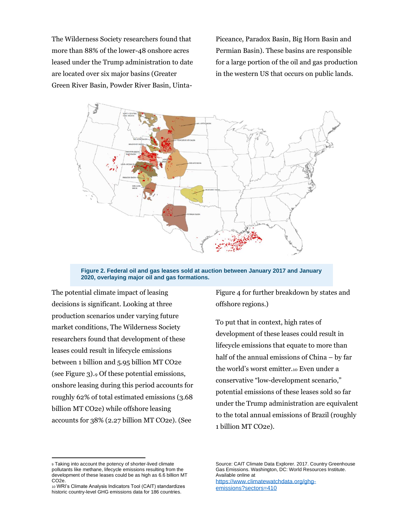The Wilderness Society researchers found that more than 88% of the lower-48 onshore acres leased under the Trump administration to date are located over six major basins (Greater Green River Basin, Powder River Basin, UintaPiceance, Paradox Basin, Big Horn Basin and Permian Basin). These basins are responsible for a large portion of the oil and gas production in the western US that occurs on public lands.



**Figure 2. Federal oil and gas leases sold at auction between January 2017 and January 2020, overlaying major oil and gas formations.**

The potential climate impact of leasing decisions is significant. Looking at three production scenarios under varying future market conditions, The Wilderness Society researchers found that development of these leases could result in lifecycle emissions between 1 billion and 5.95 billion MT CO2e (see Figure 3).<sup>9</sup> Of these potential emissions, onshore leasing during this period accounts for roughly 62% of total estimated emissions (3.68 billion MT CO2e) while offshore leasing accounts for 38% (2.27 billion MT CO2e). (See

Figure 4 for further breakdown by states and offshore regions.)

To put that in context, high rates of development of these leases could result in lifecycle emissions that equate to more than half of the annual emissions of China – by far the world's worst emitter.<sup>10</sup> Even under a conservative "low-development scenario," potential emissions of these leases sold so far under the Trump administration are equivalent to the total annual emissions of Brazil (roughly 1 billion MT CO2e).

<sup>9</sup> Taking into account the potency of shorter-lived climate pollutants like methane, lifecycle emissions resulting from the development of these leases could be as high as 6.6 billion MT CO2e.

<sup>10</sup> WRI's Climate Analysis Indicators Tool (CAIT) standardizes historic country-level GHG emissions data for 186 countries.

Source: CAIT Climate Data Explorer. 2017. Country Greenhouse Gas Emissions. Washington, DC: World Resources Institute. Available online at

[https://www.climatewatchdata.org/ghg](https://www.climatewatchdata.org/ghg-emissions?sectors=410)[emissions?sectors=410](https://www.climatewatchdata.org/ghg-emissions?sectors=410)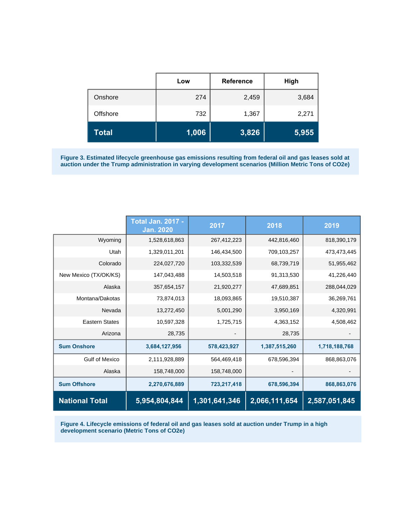|          | Low   | <b>Reference</b> | High  |
|----------|-------|------------------|-------|
| Onshore  | 274   | 2,459            | 3,684 |
| Offshore | 732   | 1,367            | 2,271 |
| Total    | 1,006 | 3,826            | 5,955 |

**Figure 3. Estimated lifecycle greenhouse gas emissions resulting from federal oil and gas leases sold at auction under the Trump administration in varying development scenarios (Million Metric Tons of CO2e)**

|                       | <b>Total Jan. 2017 -</b><br><b>Jan. 2020</b> | 2017          | 2018          | 2019          |
|-----------------------|----------------------------------------------|---------------|---------------|---------------|
| Wyoming               | 1,528,618,863                                | 267,412,223   | 442,816,460   | 818,390,179   |
| Utah                  | 1,329,011,201                                | 146,434,500   | 709,103,257   | 473,473,445   |
| Colorado              | 224,027,720                                  | 103,332,539   | 68,739,719    | 51,955,462    |
| New Mexico (TX/OK/KS) | 147,043,488                                  | 14,503,518    | 91,313,530    | 41,226,440    |
| Alaska                | 357,654,157                                  | 21,920,277    | 47,689,851    | 288,044,029   |
| Montana/Dakotas       | 73,874,013                                   | 18,093,865    | 19,510,387    | 36,269,761    |
| Nevada                | 13,272,450                                   | 5,001,290     | 3,950,169     | 4,320,991     |
| <b>Eastern States</b> | 10,597,328                                   | 1,725,715     | 4,363,152     | 4,508,462     |
| Arizona               | 28,735                                       |               | 28,735        |               |
| <b>Sum Onshore</b>    | 3,684,127,956                                | 578,423,927   | 1,387,515,260 | 1,718,188,768 |
| <b>Gulf of Mexico</b> | 2,111,928,889                                | 564,469,418   | 678,596,394   | 868,863,076   |
| Alaska                | 158,748,000                                  | 158,748,000   |               |               |
| <b>Sum Offshore</b>   | 2,270,676,889                                | 723,217,418   | 678,596,394   | 868,863,076   |
| <b>National Total</b> | 5,954,804,844                                | 1,301,641,346 | 2,066,111,654 | 2,587,051,845 |

**Figure 4. Lifecycle emissions of federal oil and gas leases sold at auction under Trump in a high development scenario (Metric Tons of CO2e)**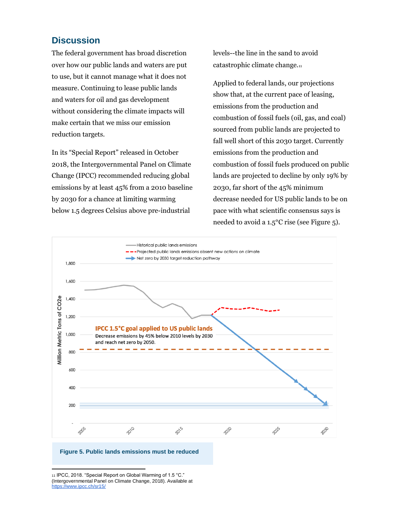### **Discussion**

The federal government has broad discretion over how our public lands and waters are put to use, but it cannot manage what it does not measure. Continuing to lease public lands and waters for oil and gas development without considering the climate impacts will make certain that we miss our emission reduction targets.

In its "Special Report" released in October 2018, the Intergovernmental Panel on Climate Change (IPCC) recommended reducing global emissions by at least 45% from a 2010 baseline by 2030 for a chance at limiting warming below 1.5 degrees Celsius above pre-industrial

levels--the line in the sand to avoid catastrophic climate change.<sup>11</sup>

Applied to federal lands, our projections show that, at the current pace of leasing, emissions from the production and combustion of fossil fuels (oil, gas, and coal) sourced from public lands are projected to fall well short of this 2030 target. Currently emissions from the production and combustion of fossil fuels produced on public lands are projected to decline by only 19% by 2030, far short of the 45% minimum decrease needed for US public lands to be on pace with what scientific consensus says is needed to avoid a 1.5°C rise (see Figure 5).



#### **Figure 5. Public lands emissions must be reduced**

11 IPCC, 2018. "Special Report on Global Warming of 1.5 °C." (Intergovernmental Panel on Climate Change, 2018). Available at <https://www.ipcc.ch/sr15/>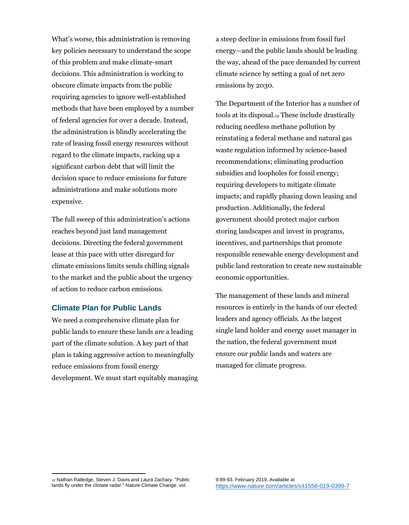What's worse, this administration is removing key policies necessary to understand the scope of this problem and make climate-smart decisions. This administration is working to obscure climate impacts from the public requiring agencies to ignore well-established methods that have been employed by a number of federal agencies for over a decade. Instead, the administration is blindly accelerating the rate of leasing fossil energy resources without regard to the climate impacts, racking up a significant carbon debt that will limit the decision space to reduce emissions for future administrations and make solutions more expensive.

The full sweep of this administration's actions reaches beyond just land management decisions. Directing the federal government lease at this pace with utter disregard for climate emissions limits sends chilling signals to the market and the public about the urgency of action to reduce carbon emissions.

#### **Climate Plan for Public Lands**

We need a comprehensive climate plan for public lands to ensure these lands are a leading part of the climate solution. A key part of that plan is taking aggressive action to meaningfully reduce emissions from fossil energy development. We must start equitably managing a steep decline in emissions from fossil fuel energy—and the public lands should be leading the way, ahead of the pace demanded by current climate science by setting a goal of net zero emissions by 2030.

The Department of the Interior has a number of tools at its disposal.<sup>12</sup> These include drastically reducing needless methane pollution by reinstating a federal methane and natural gas waste regulation informed by science-based recommendations; eliminating production subsidies and loopholes for fossil energy; requiring developers to mitigate climate impacts; and rapidly phasing down leasing and production. Additionally, the federal government should protect major carbon storing landscapes and invest in programs, incentives, and partnerships that promote responsible renewable energy development and public land restoration to create new sustainable economic opportunities.

The management of these lands and mineral resources is entirely in the hands of our elected leaders and agency officials. As the largest single land holder and energy asset manager in the nation, the federal government must ensure our public lands and waters are managed for climate progress.

<sup>12</sup> Nathan Ratledge, Steven J. Davis and Laura Zachary. "Public lands fly under the climate radar." Nature Climate Change. vol.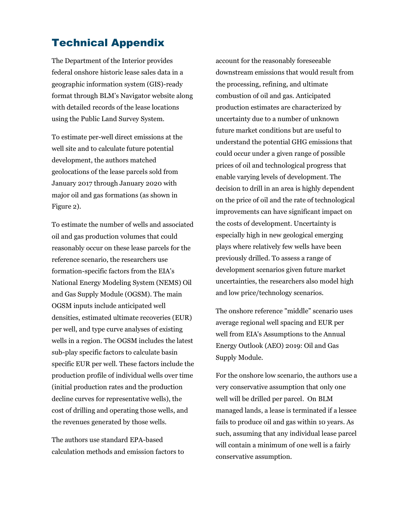## Technical Appendix

The Department of the Interior provides federal onshore historic lease sales data in a geographic information system (GIS)-ready format through BLM's Navigator website along with detailed records of the lease locations using the Public Land Survey System.

To estimate per-well direct emissions at the well site and to calculate future potential development, the authors matched geolocations of the lease parcels sold from January 2017 through January 2020 with major oil and gas formations (as shown in Figure 2).

To estimate the number of wells and associated oil and gas production volumes that could reasonably occur on these lease parcels for the reference scenario, the researchers use formation-specific factors from the EIA's National Energy Modeling System (NEMS) Oil and Gas Supply Module (OGSM). The main OGSM inputs include anticipated well densities, estimated ultimate recoveries (EUR) per well, and type curve analyses of existing wells in a region. The OGSM includes the latest sub-play specific factors to calculate basin specific EUR per well. These factors include the production profile of individual wells over time (initial production rates and the production decline curves for representative wells), the cost of drilling and operating those wells, and the revenues generated by those wells.

The authors use standard EPA-based calculation methods and emission factors to account for the reasonably foreseeable downstream emissions that would result from the processing, refining, and ultimate combustion of oil and gas. Anticipated production estimates are characterized by uncertainty due to a number of unknown future market conditions but are useful to understand the potential GHG emissions that could occur under a given range of possible prices of oil and technological progress that enable varying levels of development. The decision to drill in an area is highly dependent on the price of oil and the rate of technological improvements can have significant impact on the costs of development. Uncertainty is especially high in new geological emerging plays where relatively few wells have been previously drilled. To assess a range of development scenarios given future market uncertainties, the researchers also model high and low price/technology scenarios.

The onshore reference "middle" scenario uses average regional well spacing and EUR per well from EIA's Assumptions to the Annual Energy Outlook (AEO) 2019: Oil and Gas Supply Module.

For the onshore low scenario, the authors use a very conservative assumption that only one well will be drilled per parcel. On BLM managed lands, a lease is terminated if a lessee fails to produce oil and gas within 10 years. As such, assuming that any individual lease parcel will contain a minimum of one well is a fairly conservative assumption.